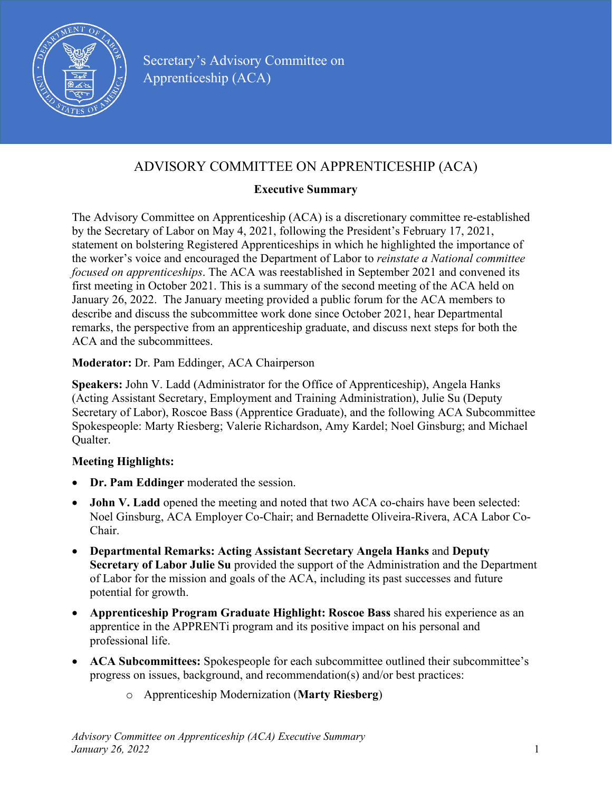

# ADVISORY COMMITTEE ON APPRENTICESHIP (ACA)

### **Executive Summary**

The Advisory Committee on Apprenticeship (ACA) is a discretionary committee re-established by the Secretary of Labor on May 4, 2021, following the President's February 17, 2021, statement on bolstering Registered Apprenticeships in which he highlighted the importance of the worker's voice and encouraged the Department of Labor to *reinstate a National committee focused on apprenticeships*. The ACA was reestablished in September 2021 and convened its first meeting in October 2021. This is a summary of the second meeting of the ACA held on January 26, 2022. The January meeting provided a public forum for the ACA members to describe and discuss the subcommittee work done since October 2021, hear Departmental remarks, the perspective from an apprenticeship graduate, and discuss next steps for both the ACA and the subcommittees.

#### **Moderator:** Dr. Pam Eddinger, ACA Chairperson

**Speakers:** John V. Ladd (Administrator for the Office of Apprenticeship), Angela Hanks (Acting Assistant Secretary, Employment and Training Administration), Julie Su (Deputy Secretary of Labor), Roscoe Bass (Apprentice Graduate), and the following ACA Subcommittee Spokespeople: Marty Riesberg; Valerie Richardson, Amy Kardel; Noel Ginsburg; and Michael Qualter.

#### **Meeting Highlights:**

- **Dr. Pam Eddinger** moderated the session.
- **John V. Ladd** opened the meeting and noted that two ACA co-chairs have been selected: Noel Ginsburg, ACA Employer Co-Chair; and Bernadette Oliveira-Rivera, ACA Labor Co-Chair.
- **Departmental Remarks: Acting Assistant Secretary Angela Hanks** and **Deputy Secretary of Labor Julie Su** provided the support of the Administration and the Department of Labor for the mission and goals of the ACA, including its past successes and future potential for growth.
- **Apprenticeship Program Graduate Highlight: Roscoe Bass** shared his experience as an apprentice in the APPRENTi program and its positive impact on his personal and professional life.
- **ACA Subcommittees:** Spokespeople for each subcommittee outlined their subcommittee's progress on issues, background, and recommendation(s) and/or best practices:
	- o Apprenticeship Modernization (**Marty Riesberg**)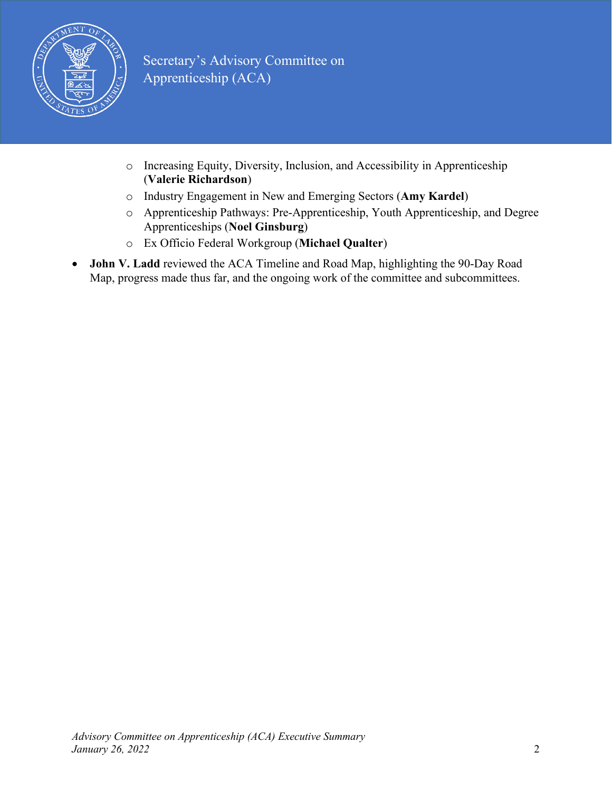

- o Increasing Equity, Diversity, Inclusion, and Accessibility in Apprenticeship (**Valerie Richardson**)
- o Industry Engagement in New and Emerging Sectors (**Amy Kardel**)
- o Apprenticeship Pathways: Pre-Apprenticeship, Youth Apprenticeship, and Degree Apprenticeships (**Noel Ginsburg**)
- o Ex Officio Federal Workgroup (**Michael Qualter**)
- **John V. Ladd** reviewed the ACA Timeline and Road Map, highlighting the 90-Day Road Map, progress made thus far, and the ongoing work of the committee and subcommittees.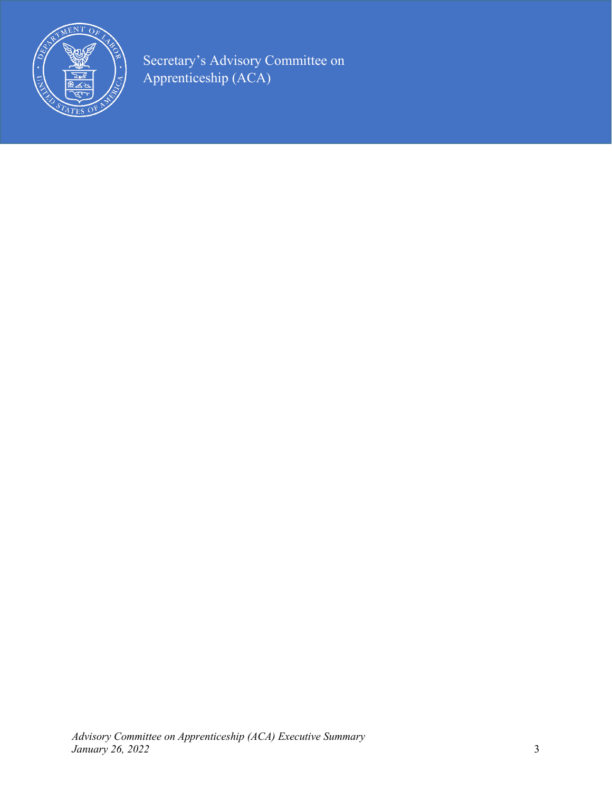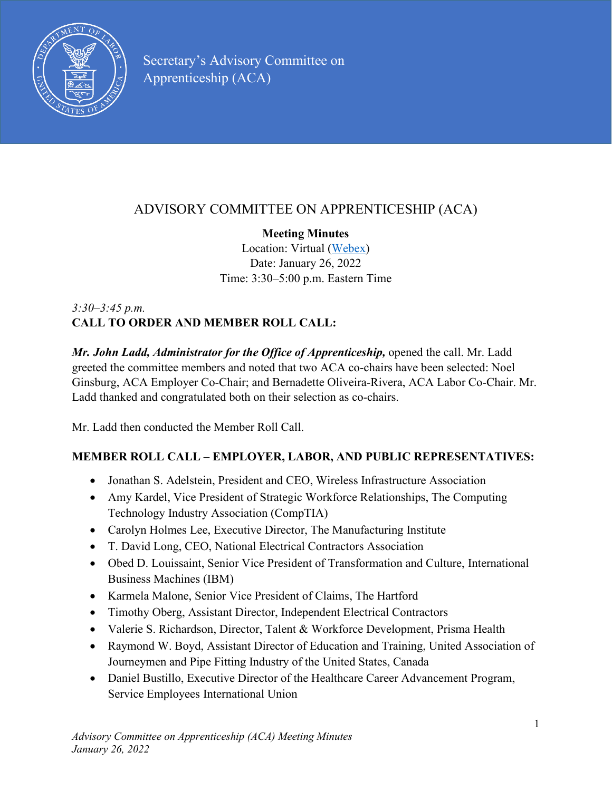

# ADVISORY COMMITTEE ON APPRENTICESHIP (ACA)

### **Meeting Minutes**

Location: Virtual [\(Webex\)](https://usdolevents.webex.com/%E2%80%8Busdolevents/%E2%80%8Bonstage/%E2%80%8Bg.php?%E2%80%8BMTID=%E2%80%8Beccf3473ce8c1bfc8dbec27fbd01c7bf5) Date: January 26, 2022 Time: 3:30–5:00 p.m. Eastern Time

## *3:30–3:45 p.m.* **CALL TO ORDER AND MEMBER ROLL CALL:**

*Mr. John Ladd, Administrator for the Office of Apprenticeship, opened the call. Mr. Ladd* greeted the committee members and noted that two ACA co-chairs have been selected: Noel Ginsburg, ACA Employer Co-Chair; and Bernadette Oliveira-Rivera, ACA Labor Co-Chair. Mr. Ladd thanked and congratulated both on their selection as co-chairs.

Mr. Ladd then conducted the Member Roll Call.

# **MEMBER ROLL CALL – EMPLOYER, LABOR, AND PUBLIC REPRESENTATIVES:**

- Jonathan S. Adelstein, President and CEO, Wireless Infrastructure Association
- Amy Kardel, Vice President of Strategic Workforce Relationships, The Computing Technology Industry Association (CompTIA)
- Carolyn Holmes Lee, Executive Director, The Manufacturing Institute
- T. David Long, CEO, National Electrical Contractors Association
- Obed D. Louissaint, Senior Vice President of Transformation and Culture, International Business Machines (IBM)
- Karmela Malone, Senior Vice President of Claims, The Hartford
- Timothy Oberg, Assistant Director, Independent Electrical Contractors
- Valerie S. Richardson, Director, Talent & Workforce Development, Prisma Health
- Raymond W. Boyd, Assistant Director of Education and Training, United Association of Journeymen and Pipe Fitting Industry of the United States, Canada
- Daniel Bustillo, Executive Director of the Healthcare Career Advancement Program, Service Employees International Union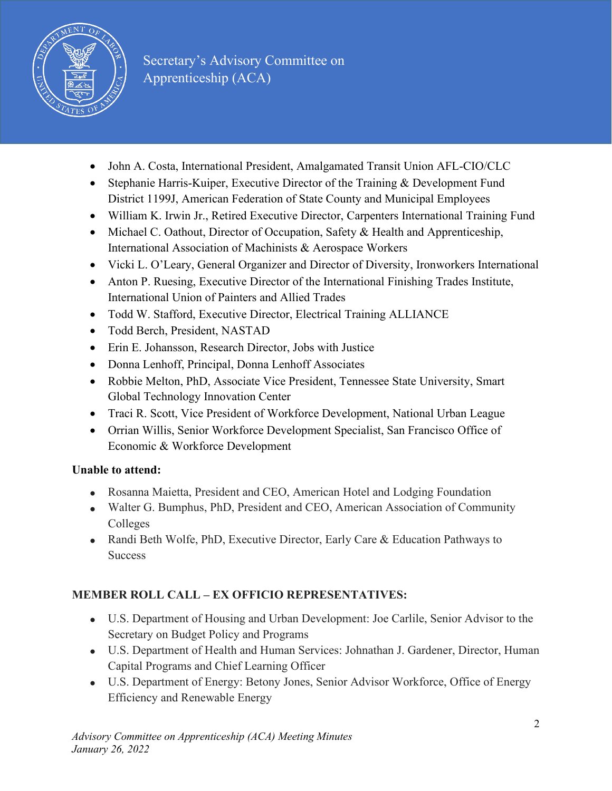

- John A. Costa, International President, Amalgamated Transit Union AFL-CIO/CLC
- Stephanie Harris-Kuiper, Executive Director of the Training & Development Fund District 1199J, American Federation of State County and Municipal Employees
- William K. Irwin Jr., Retired Executive Director, Carpenters International Training Fund
- Michael C. Oathout, Director of Occupation, Safety & Health and Apprenticeship, International Association of Machinists & Aerospace Workers
- Vicki L. O'Leary, General Organizer and Director of Diversity, Ironworkers International
- Anton P. Ruesing, Executive Director of the International Finishing Trades Institute, International Union of Painters and Allied Trades
- Todd W. Stafford, Executive Director, Electrical Training ALLIANCE
- Todd Berch, President, NASTAD
- Erin E. Johansson, Research Director, Jobs with Justice
- Donna Lenhoff, Principal, Donna Lenhoff Associates
- Robbie Melton, PhD, Associate Vice President, Tennessee State University, Smart Global Technology Innovation Center
- Traci R. Scott, Vice President of Workforce Development, National Urban League
- Orrian Willis, Senior Workforce Development Specialist, San Francisco Office of Economic & Workforce Development

### **Unable to attend:**

- Rosanna Maietta, President and CEO, American Hotel and Lodging Foundation
- Walter G. Bumphus, PhD, President and CEO, American Association of Community Colleges
- Randi Beth Wolfe, PhD, Executive Director, Early Care & Education Pathways to **Success**

### **MEMBER ROLL CALL – EX OFFICIO REPRESENTATIVES:**

- U.S. Department of Housing and Urban Development: Joe Carlile, Senior Advisor to the Secretary on Budget Policy and Programs
- U.S. Department of Health and Human Services: Johnathan J. Gardener, Director, Human Capital Programs and Chief Learning Officer
- U.S. Department of Energy: Betony Jones, Senior Advisor Workforce, Office of Energy Efficiency and Renewable Energy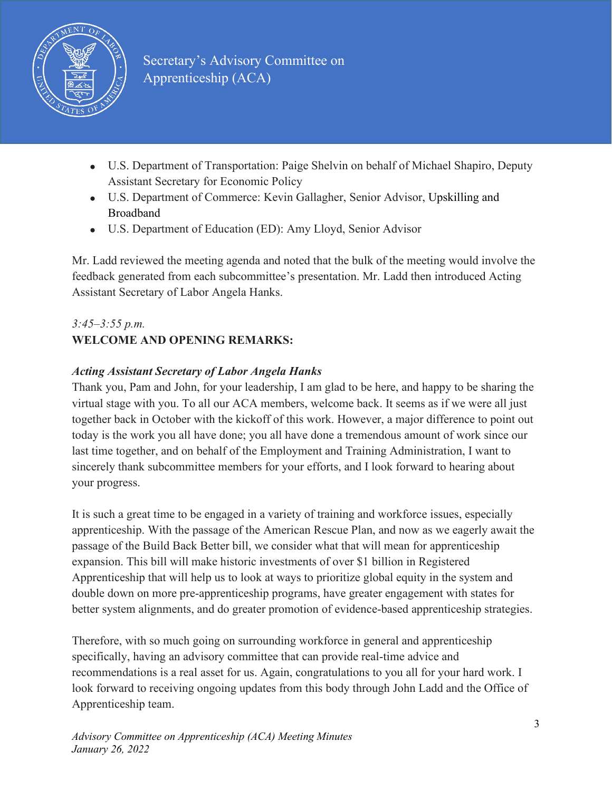

- U.S. Department of Transportation: Paige Shelvin on behalf of Michael Shapiro, Deputy Assistant Secretary for Economic Policy
- U.S. Department of Commerce: Kevin Gallagher, Senior Advisor, Upskilling and Broadband
- U.S. Department of Education (ED): Amy Lloyd, Senior Advisor

Mr. Ladd reviewed the meeting agenda and noted that the bulk of the meeting would involve the feedback generated from each subcommittee's presentation. Mr. Ladd then introduced Acting Assistant Secretary of Labor Angela Hanks.

#### *3:45–3:55 p.m.* **WELCOME AND OPENING REMARKS:**

## *Acting Assistant Secretary of Labor Angela Hanks*

Thank you, Pam and John, for your leadership, I am glad to be here, and happy to be sharing the virtual stage with you. To all our ACA members, welcome back. It seems as if we were all just together back in October with the kickoff of this work. However, a major difference to point out today is the work you all have done; you all have done a tremendous amount of work since our last time together, and on behalf of the Employment and Training Administration, I want to sincerely thank subcommittee members for your efforts, and I look forward to hearing about your progress.

It is such a great time to be engaged in a variety of training and workforce issues, especially apprenticeship. With the passage of the American Rescue Plan, and now as we eagerly await the passage of the Build Back Better bill, we consider what that will mean for apprenticeship expansion. This bill will make historic investments of over \$1 billion in Registered Apprenticeship that will help us to look at ways to prioritize global equity in the system and double down on more pre-apprenticeship programs, have greater engagement with states for better system alignments, and do greater promotion of evidence-based apprenticeship strategies.

Therefore, with so much going on surrounding workforce in general and apprenticeship specifically, having an advisory committee that can provide real-time advice and recommendations is a real asset for us. Again, congratulations to you all for your hard work. I look forward to receiving ongoing updates from this body through John Ladd and the Office of Apprenticeship team.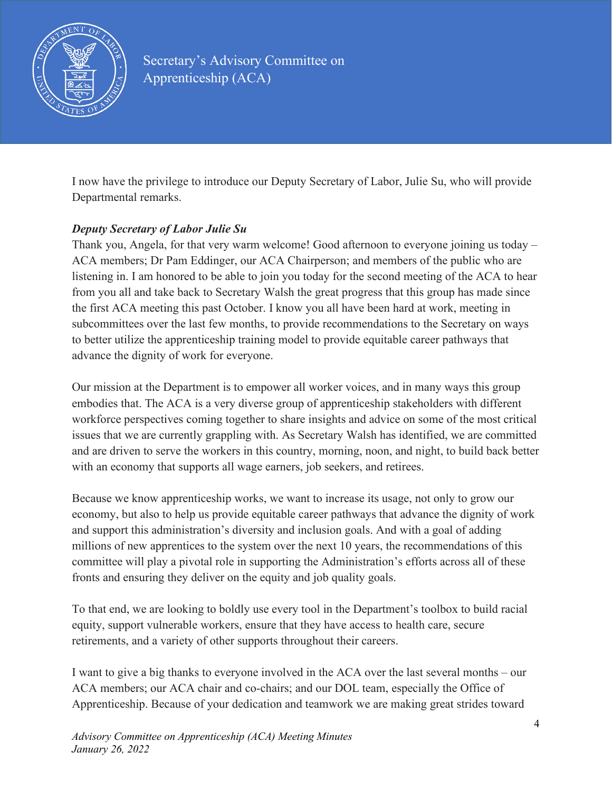

I now have the privilege to introduce our Deputy Secretary of Labor, Julie Su, who will provide Departmental remarks.

### *Deputy Secretary of Labor Julie Su*

Thank you, Angela, for that very warm welcome! Good afternoon to everyone joining us today – ACA members; Dr Pam Eddinger, our ACA Chairperson; and members of the public who are listening in. I am honored to be able to join you today for the second meeting of the ACA to hear from you all and take back to Secretary Walsh the great progress that this group has made since the first ACA meeting this past October. I know you all have been hard at work, meeting in subcommittees over the last few months, to provide recommendations to the Secretary on ways to better utilize the apprenticeship training model to provide equitable career pathways that advance the dignity of work for everyone.

Our mission at the Department is to empower all worker voices, and in many ways this group embodies that. The ACA is a very diverse group of apprenticeship stakeholders with different workforce perspectives coming together to share insights and advice on some of the most critical issues that we are currently grappling with. As Secretary Walsh has identified, we are committed and are driven to serve the workers in this country, morning, noon, and night, to build back better with an economy that supports all wage earners, job seekers, and retirees.

Because we know apprenticeship works, we want to increase its usage, not only to grow our economy, but also to help us provide equitable career pathways that advance the dignity of work and support this administration's diversity and inclusion goals. And with a goal of adding millions of new apprentices to the system over the next 10 years, the recommendations of this committee will play a pivotal role in supporting the Administration's efforts across all of these fronts and ensuring they deliver on the equity and job quality goals.

To that end, we are looking to boldly use every tool in the Department's toolbox to build racial equity, support vulnerable workers, ensure that they have access to health care, secure retirements, and a variety of other supports throughout their careers.

I want to give a big thanks to everyone involved in the ACA over the last several months – our ACA members; our ACA chair and co-chairs; and our DOL team, especially the Office of Apprenticeship. Because of your dedication and teamwork we are making great strides toward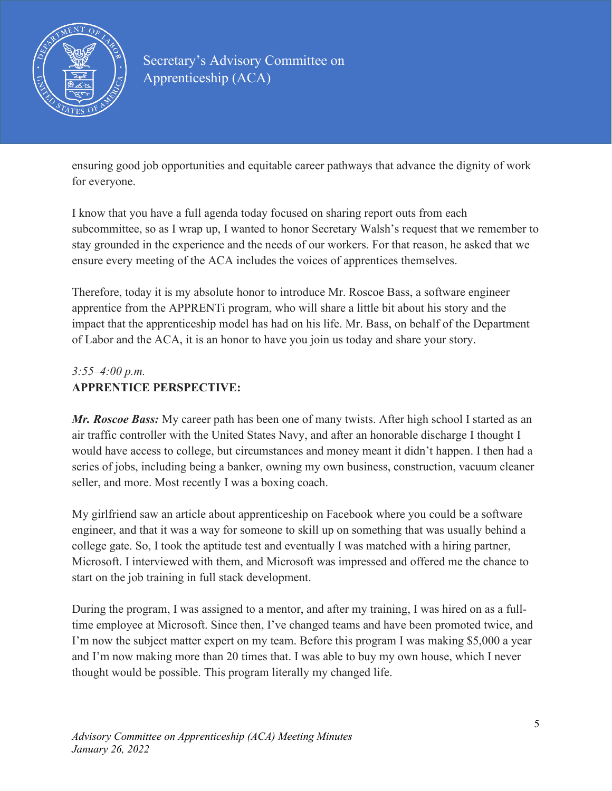

ensuring good job opportunities and equitable career pathways that advance the dignity of work for everyone.

I know that you have a full agenda today focused on sharing report outs from each subcommittee, so as I wrap up, I wanted to honor Secretary Walsh's request that we remember to stay grounded in the experience and the needs of our workers. For that reason, he asked that we ensure every meeting of the ACA includes the voices of apprentices themselves.

Therefore, today it is my absolute honor to introduce Mr. Roscoe Bass, a software engineer apprentice from the APPRENTi program, who will share a little bit about his story and the impact that the apprenticeship model has had on his life. Mr. Bass, on behalf of the Department of Labor and the ACA, it is an honor to have you join us today and share your story.

## *3:55–4:00 p.m.* **APPRENTICE PERSPECTIVE:**

*Mr. Roscoe Bass:* My career path has been one of many twists. After high school I started as an air traffic controller with the United States Navy, and after an honorable discharge I thought I would have access to college, but circumstances and money meant it didn't happen. I then had a series of jobs, including being a banker, owning my own business, construction, vacuum cleaner seller, and more. Most recently I was a boxing coach.

My girlfriend saw an article about apprenticeship on Facebook where you could be a software engineer, and that it was a way for someone to skill up on something that was usually behind a college gate. So, I took the aptitude test and eventually I was matched with a hiring partner, Microsoft. I interviewed with them, and Microsoft was impressed and offered me the chance to start on the job training in full stack development.

During the program, I was assigned to a mentor, and after my training, I was hired on as a fulltime employee at Microsoft. Since then, I've changed teams and have been promoted twice, and I'm now the subject matter expert on my team. Before this program I was making \$5,000 a year and I'm now making more than 20 times that. I was able to buy my own house, which I never thought would be possible. This program literally my changed life.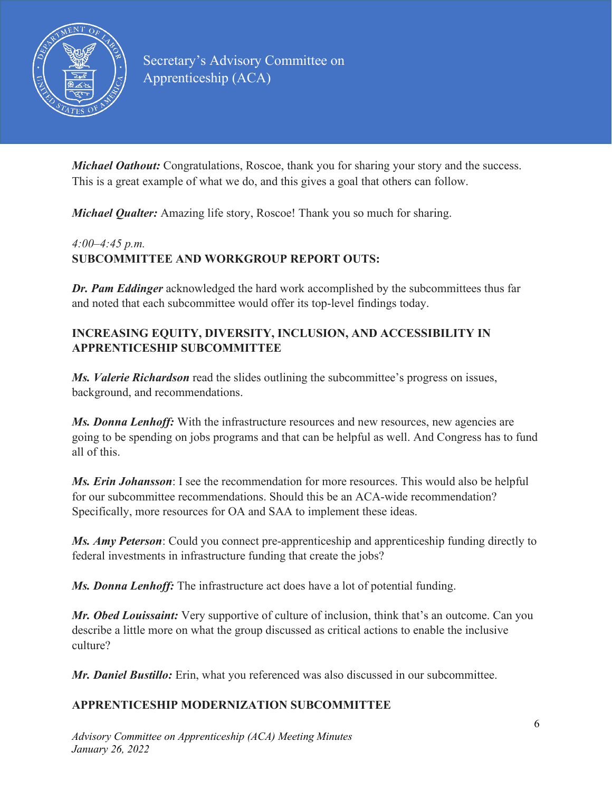

*Michael Oathout:* Congratulations, Roscoe, thank you for sharing your story and the success. This is a great example of what we do, and this gives a goal that others can follow.

*Michael Qualter:* Amazing life story, Roscoe! Thank you so much for sharing.

### *4:00–4:45 p.m.* **SUBCOMMITTEE AND WORKGROUP REPORT OUTS:**

*Dr. Pam Eddinger* acknowledged the hard work accomplished by the subcommittees thus far and noted that each subcommittee would offer its top-level findings today.

### **INCREASING EQUITY, DIVERSITY, INCLUSION, AND ACCESSIBILITY IN APPRENTICESHIP SUBCOMMITTEE**

*Ms. Valerie Richardson* read the slides outlining the subcommittee's progress on issues, background, and recommendations.

**Ms. Donna Lenhoff:** With the infrastructure resources and new resources, new agencies are going to be spending on jobs programs and that can be helpful as well. And Congress has to fund all of this.

*Ms. Erin Johansson*: I see the recommendation for more resources. This would also be helpful for our subcommittee recommendations. Should this be an ACA-wide recommendation? Specifically, more resources for OA and SAA to implement these ideas.

*Ms. Amy Peterson*: Could you connect pre-apprenticeship and apprenticeship funding directly to federal investments in infrastructure funding that create the jobs?

*Ms. Donna Lenhoff:* The infrastructure act does have a lot of potential funding.

*Mr. Obed Louissaint:* Very supportive of culture of inclusion, think that's an outcome. Can you describe a little more on what the group discussed as critical actions to enable the inclusive culture?

*Mr. Daniel Bustillo:* Erin, what you referenced was also discussed in our subcommittee.

### **APPRENTICESHIP MODERNIZATION SUBCOMMITTEE**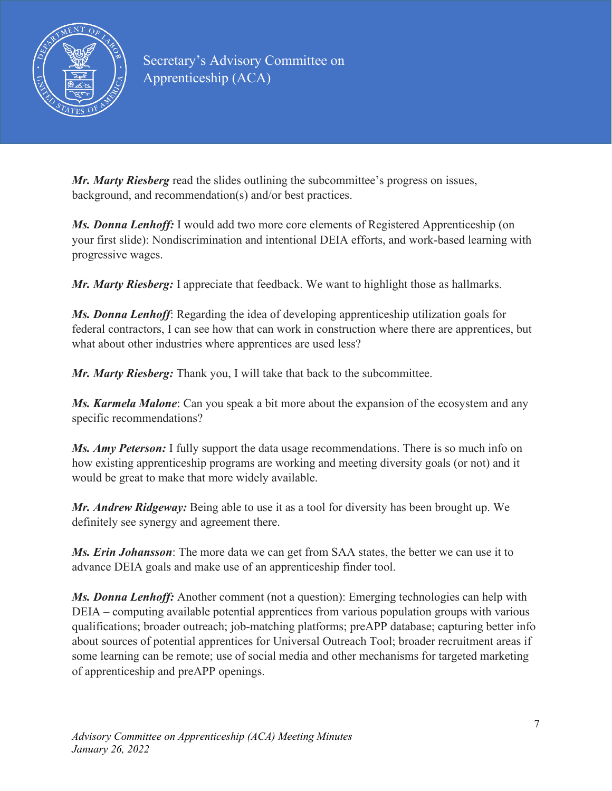

*Mr. Marty Riesberg* read the slides outlining the subcommittee's progress on issues, background, and recommendation(s) and/or best practices.

*Ms. Donna Lenhoff:* I would add two more core elements of Registered Apprenticeship (on your first slide): Nondiscrimination and intentional DEIA efforts, and work-based learning with progressive wages.

*Mr. Marty Riesberg:* I appreciate that feedback. We want to highlight those as hallmarks.

*Ms. Donna Lenhoff*: Regarding the idea of developing apprenticeship utilization goals for federal contractors, I can see how that can work in construction where there are apprentices, but what about other industries where apprentices are used less?

*Mr. Marty Riesberg:* Thank you, I will take that back to the subcommittee.

*Ms. Karmela Malone*: Can you speak a bit more about the expansion of the ecosystem and any specific recommendations?

*Ms. Amy Peterson:* I fully support the data usage recommendations. There is so much info on how existing apprenticeship programs are working and meeting diversity goals (or not) and it would be great to make that more widely available.

*Mr. Andrew Ridgeway:* Being able to use it as a tool for diversity has been brought up. We definitely see synergy and agreement there.

*Ms. Erin Johansson*: The more data we can get from SAA states, the better we can use it to advance DEIA goals and make use of an apprenticeship finder tool.

*Ms. Donna Lenhoff:* Another comment (not a question): Emerging technologies can help with DEIA – computing available potential apprentices from various population groups with various qualifications; broader outreach; job-matching platforms; preAPP database; capturing better info about sources of potential apprentices for Universal Outreach Tool; broader recruitment areas if some learning can be remote; use of social media and other mechanisms for targeted marketing of apprenticeship and preAPP openings.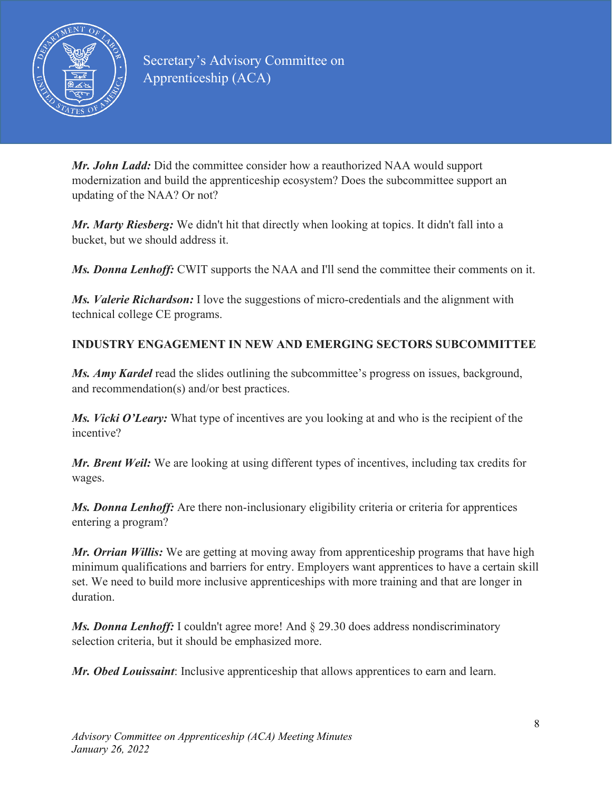

*Mr. John Ladd:* Did the committee consider how a reauthorized NAA would support modernization and build the apprenticeship ecosystem? Does the subcommittee support an updating of the NAA? Or not?

*Mr. Marty Riesberg:* We didn't hit that directly when looking at topics. It didn't fall into a bucket, but we should address it.

*Ms. Donna Lenhoff:* CWIT supports the NAA and I'll send the committee their comments on it.

*Ms. Valerie Richardson:* I love the suggestions of micro-credentials and the alignment with technical college CE programs.

## **INDUSTRY ENGAGEMENT IN NEW AND EMERGING SECTORS SUBCOMMITTEE**

*Ms. Amy Kardel* read the slides outlining the subcommittee's progress on issues, background, and recommendation(s) and/or best practices.

*Ms. Vicki O'Leary:* What type of incentives are you looking at and who is the recipient of the incentive?

*Mr. Brent Weil:* We are looking at using different types of incentives, including tax credits for wages.

*Ms. Donna Lenhoff:* Are there non-inclusionary eligibility criteria or criteria for apprentices entering a program?

*Mr. Orrian Willis:* We are getting at moving away from apprenticeship programs that have high minimum qualifications and barriers for entry. Employers want apprentices to have a certain skill set. We need to build more inclusive apprenticeships with more training and that are longer in duration.

*Ms. Donna Lenhoff:* I couldn't agree more! And § 29.30 does address nondiscriminatory selection criteria, but it should be emphasized more.

*Mr. Obed Louissaint*: Inclusive apprenticeship that allows apprentices to earn and learn.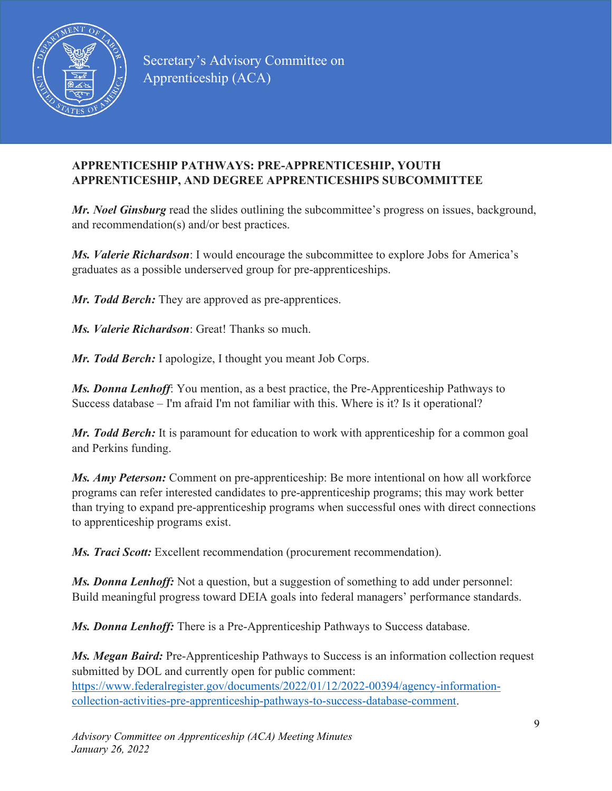

### **APPRENTICESHIP PATHWAYS: PRE-APPRENTICESHIP, YOUTH APPRENTICESHIP, AND DEGREE APPRENTICESHIPS SUBCOMMITTEE**

*Mr. Noel Ginsburg* read the slides outlining the subcommittee's progress on issues, background, and recommendation(s) and/or best practices.

*Ms. Valerie Richardson*: I would encourage the subcommittee to explore Jobs for America's graduates as a possible underserved group for pre-apprenticeships.

*Mr. Todd Berch:* They are approved as pre-apprentices.

*Ms. Valerie Richardson*: Great! Thanks so much.

*Mr. Todd Berch:* I apologize, I thought you meant Job Corps.

*Ms. Donna Lenhoff*: You mention, as a best practice, the Pre-Apprenticeship Pathways to Success database – I'm afraid I'm not familiar with this. Where is it? Is it operational?

*Mr. Todd Berch:* It is paramount for education to work with apprenticeship for a common goal and Perkins funding.

*Ms. Amy Peterson:* Comment on pre-apprenticeship: Be more intentional on how all workforce programs can refer interested candidates to pre-apprenticeship programs; this may work better than trying to expand pre-apprenticeship programs when successful ones with direct connections to apprenticeship programs exist.

*Ms. Traci Scott:* Excellent recommendation (procurement recommendation).

*Ms. Donna Lenhoff:* Not a question, but a suggestion of something to add under personnel: Build meaningful progress toward DEIA goals into federal managers' performance standards.

*Ms. Donna Lenhoff:* There is a Pre-Apprenticeship Pathways to Success database.

*Ms. Megan Baird:* Pre-Apprenticeship Pathways to Success is an information collection request submitted by DOL and currently open for public comment: [https://www.federalregister.gov/documents/2022/01/12/2022-00394/agency-information](https://www.federalregister.gov/documents/2022/01/12/2022-00394/agency-information-collection-activities-pre-apprenticeship-pathways-to-success-database-comment)[collection-activities-pre-apprenticeship-pathways-to-success-database-comment.](https://www.federalregister.gov/documents/2022/01/12/2022-00394/agency-information-collection-activities-pre-apprenticeship-pathways-to-success-database-comment)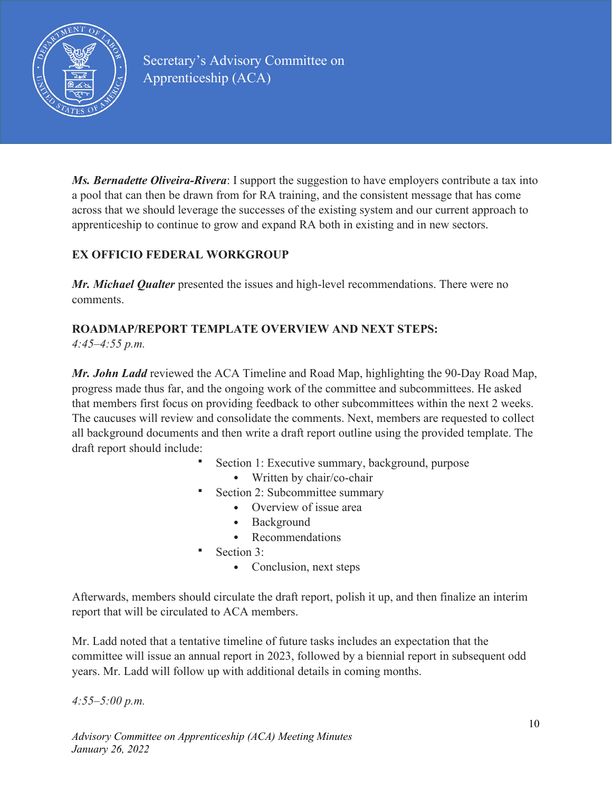

*Ms. Bernadette Oliveira-Rivera*: I support the suggestion to have employers contribute a tax into a pool that can then be drawn from for RA training, and the consistent message that has come across that we should leverage the successes of the existing system and our current approach to apprenticeship to continue to grow and expand RA both in existing and in new sectors.

## **EX OFFICIO FEDERAL WORKGROUP**

*Mr. Michael Qualter* presented the issues and high-level recommendations. There were no comments.

# **ROADMAP/REPORT TEMPLATE OVERVIEW AND NEXT STEPS:**

*4:45–4:55 p.m.*

*Mr. John Ladd* reviewed the ACA Timeline and Road Map, highlighting the 90-Day Road Map, progress made thus far, and the ongoing work of the committee and subcommittees. He asked that members first focus on providing feedback to other subcommittees within the next 2 weeks. The caucuses will review and consolidate the comments. Next, members are requested to collect all background documents and then write a draft report outline using the provided template. The draft report should include:

- Section 1: Executive summary, background, purpose
	- Written by chair/co-chair
	- Section 2: Subcommittee summary
		- Overview of issue area
		- Background
		- Recommendations
- Section 3:
	- Conclusion, next steps

Afterwards, members should circulate the draft report, polish it up, and then finalize an interim report that will be circulated to ACA members.

Mr. Ladd noted that a tentative timeline of future tasks includes an expectation that the committee will issue an annual report in 2023, followed by a biennial report in subsequent odd years. Mr. Ladd will follow up with additional details in coming months.

*4:55–5:00 p.m.*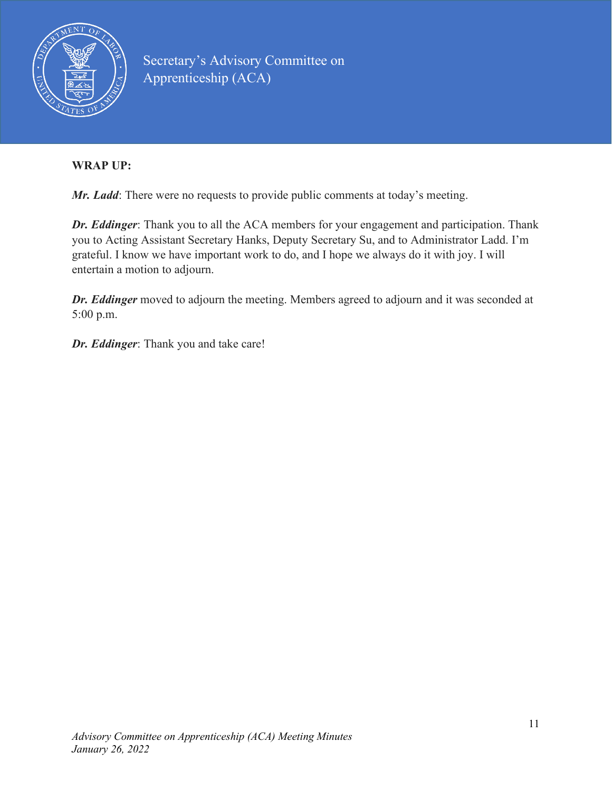

### **WRAP UP:**

*Mr. Ladd*: There were no requests to provide public comments at today's meeting.

*Dr. Eddinger*: Thank you to all the ACA members for your engagement and participation. Thank you to Acting Assistant Secretary Hanks, Deputy Secretary Su, and to Administrator Ladd. I'm grateful. I know we have important work to do, and I hope we always do it with joy. I will entertain a motion to adjourn.

*Dr. Eddinger* moved to adjourn the meeting. Members agreed to adjourn and it was seconded at 5:00 p.m.

*Dr. Eddinger*: Thank you and take care!